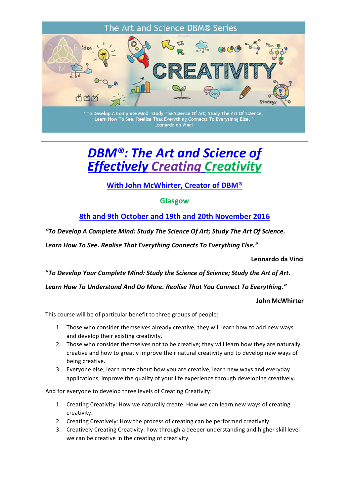

"To Develop A Complete Mind: Study The Science Of Art; Study The Art Of Science. Learn How To See. Realise That Everything Connects To Everything Else.<br>Learn How To See. Realise That Everything Connects To Everything Else.

# **DBM®: The Art and Science of** *Effectively Creating Creativity*

## **With John McWhirter, Creator of DBM®**

#### **Glasgow**

**8th and 9th October and 19th and 20th November 2016** 

*"To Develop A Complete Mind: Study The Science Of Art; Study The Art Of Science.*

Learn How To See. Realise That Everything Connects To Everything Else."

**Leonardo da Vinci**

**"***To Develop Your Complete Mind: Study the Science of Science; Study the Art of Art.*

Learn How To Understand And Do More. Realise That You Connect To Everything."

**John McWhirter**

This course will be of particular benefit to three groups of people:

- 1. Those who consider themselves already creative; they will learn how to add new ways and develop their existing creativity.
- 2. Those who consider themselves not to be creative; they will learn how they are naturally creative and how to greatly improve their natural creativity and to develop new ways of being creative.
- 3. Everyone else; learn more about how you are creative, learn new ways and everyday applications, improve the quality of your life experience through developing creatively.

And for everyone to develop three levels of Creating Creativity:

- 1. Creating Creativity: How we naturally create. How we can learn new ways of creating creativity.
- 2. Creating Creatively: How the process of creating can be performed creatively.
- 3. Creatively Creating Creativity: how through a deeper understanding and higher skill level we can be creative in the creating of creativity.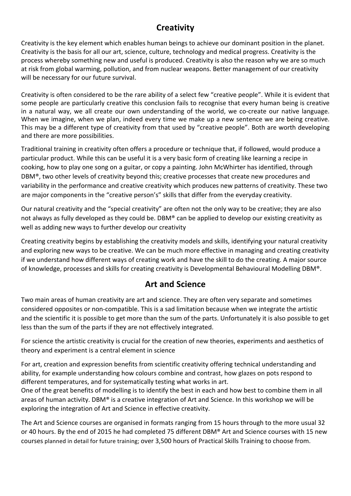# **Creativity**

Creativity is the key element which enables human beings to achieve our dominant position in the planet. Creativity is the basis for all our art, science, culture, technology and medical progress. Creativity is the process whereby something new and useful is produced. Creativity is also the reason why we are so much at risk from global warming, pollution, and from nuclear weapons. Better management of our creativity will be necessary for our future survival.

Creativity is often considered to be the rare ability of a select few "creative people". While it is evident that some people are particularly creative this conclusion fails to recognise that every human being is creative in a natural way, we all create our own understanding of the world, we co-create our native language. When we imagine, when we plan, indeed every time we make up a new sentence we are being creative. This may be a different type of creativity from that used by "creative people". Both are worth developing and there are more possibilities.

Traditional training in creativity often offers a procedure or technique that, if followed, would produce a particular product. While this can be useful it is a very basic form of creating like learning a recipe in cooking, how to play one song on a guitar, or copy a painting. John McWhirter has identified, through DBM®, two other levels of creativity beyond this; creative processes that create new procedures and variability in the performance and creative creativity which produces new patterns of creativity. These two are major components in the "creative person's" skills that differ from the everyday creativity.

Our natural creativity and the "special creativity" are often not the only way to be creative; they are also not always as fully developed as they could be. DBM® can be applied to develop our existing creativity as well as adding new ways to further develop our creativity

Creating creativity begins by establishing the creativity models and skills, identifying your natural creativity and exploring new ways to be creative. We can be much more effective in managing and creating creativity if we understand how different ways of creating work and have the skill to do the creating. A major source of knowledge, processes and skills for creating creativity is Developmental Behavioural Modelling DBM®.

## **Art and Science**

Two main areas of human creativity are art and science. They are often very separate and sometimes considered opposites or non-compatible. This is a sad limitation because when we integrate the artistic and the scientific it is possible to get more than the sum of the parts. Unfortunately it is also possible to get less than the sum of the parts if they are not effectively integrated.

For science the artistic creativity is crucial for the creation of new theories, experiments and aesthetics of theory and experiment is a central element in science

For art, creation and expression benefits from scientific creativity offering technical understanding and ability, for example understanding how colours combine and contrast, how glazes on pots respond to different temperatures, and for systematically testing what works in art.

One of the great benefits of modelling is to identify the best in each and how best to combine them in all areas of human activity. DBM® is a creative integration of Art and Science. In this workshop we will be exploring the integration of Art and Science in effective creativity.

The Art and Science courses are organised in formats ranging from 15 hours through to the more usual 32 or 40 hours. By the end of 2015 he had completed 75 different DBM® Art and Science courses with 15 new courses planned in detail for future training; over 3,500 hours of Practical Skills Training to choose from.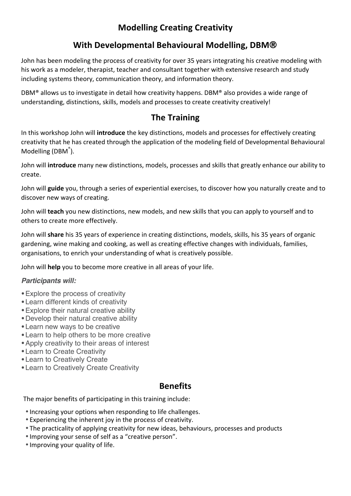# **Modelling Creating Creativity**

# **With Developmental Behavioural Modelling, DBM**®

John has been modeling the process of creativity for over 35 years integrating his creative modeling with his work as a modeler, therapist, teacher and consultant together with extensive research and study including systems theory, communication theory, and information theory.

DBM<sup>®</sup> allows us to investigate in detail how creativity happens. DBM<sup>®</sup> also provides a wide range of understanding, distinctions, skills, models and processes to create creativity creatively!

# **The Training**

In this workshop John will **introduce** the key distinctions, models and processes for effectively creating creativity that he has created through the application of the modeling field of Developmental Behavioural Modelling (DBM®).

John will **introduce** many new distinctions, models, processes and skills that greatly enhance our ability to create. 

John will guide you, through a series of experiential exercises, to discover how you naturally create and to discover new ways of creating.

John will **teach** you new distinctions, new models, and new skills that you can apply to yourself and to others to create more effectively.

John will **share** his 35 years of experience in creating distinctions, models, skills, his 35 years of organic gardening, wine making and cooking, as well as creating effective changes with individuals, families, organisations, to enrich your understanding of what is creatively possible.

John will **help** you to become more creative in all areas of your life.

#### *Participants will:*

- •Explore the process of creativity
- •Learn different kinds of creativity
- •Explore their natural creative ability
- •Develop their natural creative ability
- •Learn new ways to be creative
- •Learn to help others to be more creative
- •Apply creativity to their areas of interest
- •Learn to Create Creativity
- •Learn to Creatively Create
- •Learn to Creatively Create Creativity

### **Benefits**

The major benefits of participating in this training include:

- Increasing your options when responding to life challenges.
- Experiencing the inherent joy in the process of creativity.
- The practicality of applying creativity for new ideas, behaviours, processes and products
- Improving your sense of self as a "creative person".
- Improving your quality of life.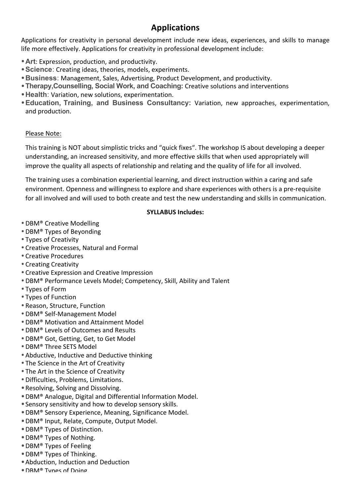# **Applications**

Applications for creativity in personal development include new ideas, experiences, and skills to manage life more effectively. Applications for creativity in professional development include:

- **Art**: Expression, production, and productivity.
- Science: Creating ideas, theories, models, experiments.
- Business: Management, Sales, Advertising, Product Development, and productivity.
- Therapy, Counselling, Social Work, and Coaching: Creative solutions and interventions
- Health: Variation, new solutions, experimentation.
- Education, Training, and Business Consultancy: Variation, new approaches, experimentation, and production.

#### Please Note:

This training is NOT about simplistic tricks and "quick fixes". The workshop IS about developing a deeper understanding, an increased sensitivity, and more effective skills that when used appropriately will improve the quality all aspects of relationship and relating and the quality of life for all involved.

The training uses a combination experiential learning, and direct instruction within a caring and safe environment. Openness and willingness to explore and share experiences with others is a pre-requisite for all involved and will used to both create and test the new understanding and skills in communication.

#### **SYLLABUS Includes:**

- DBM® Creative Modelling
- DBM® Types of Beyonding
- Types of Creativity
- Creative Processes, Natural and Formal
- Creative Procedures
- Creating Creativity
- Creative Expression and Creative Impression
- DBM® Performance Levels Model; Competency, Skill, Ability and Talent
- Types of Form
- Types of Function
- Reason, Structure, Function
- •DBM® Self-Management Model
- DBM<sup>®</sup> Motivation and Attainment Model
- DBM® Levels of Outcomes and Results
- DBM® Got, Getting, Get, to Get Model
- •DBM® Three SETS Model
- Abductive, Inductive and Deductive thinking
- The Science in the Art of Creativity
- The Art in the Science of Creativity
- Difficulties, Problems, Limitations.
- Resolving, Solving and Dissolving.
- DBM® Analogue, Digital and Differential Information Model.
- Sensory sensitivity and how to develop sensory skills.
- DBM® Sensory Experience, Meaning, Significance Model.
- DBM® Input, Relate, Compute, Output Model.
- DBM® Types of Distinction.
- DBM® Types of Nothing.
- DBM® Types of Feeling
- DBM® Types of Thinking.
- Abduction, Induction and Deduction
- DRM<sup>®</sup> Types of Doing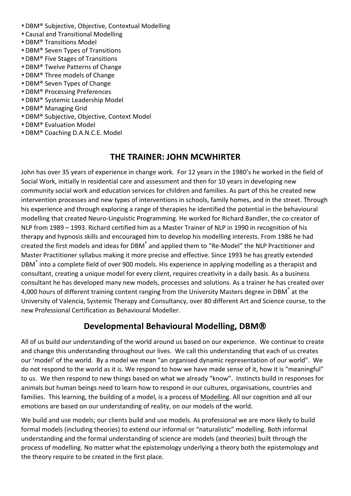- DBM® Subjective, Objective, Contextual Modelling
- Causal and Transitional Modelling
- •DBM® Transitions Model
- DBM® Seven Types of Transitions
- •DBM® Five Stages of Transitions
- DBM® Twelve Patterns of Change
- DBM® Three models of Change
- DBM® Seven Types of Change
- •DBM® Processing Preferences
- DBM® Systemic Leadership Model
- DBM® Managing Grid
- DBM® Subjective, Objective, Context Model
- •DBM® Evaluation Model
- DBM® Coaching D.A.N.C.E. Model

### **THE TRAINER: JOHN MCWHIRTER**

John has over 35 years of experience in change work. For 12 years in the 1980's he worked in the field of Social Work, initially in residential care and assessment and then for 10 years in developing new community social work and education services for children and families. As part of this he created new intervention processes and new types of interventions in schools, family homes, and in the street. Through his experience and through exploring a range of therapies he identified the potential in the behavioural modelling that created Neuro-Linguistic Programming. He worked for Richard Bandler, the co-creator of NLP from 1989 - 1993. Richard certified him as a Master Trainer of NLP in 1990 in recognition of his therapy and hypnosis skills and encouraged him to develop his modelling interests. From 1986 he had created the first models and ideas for DBM<sup>®</sup> and applied them to "Re-Model" the NLP Practitioner and Master Practitioner syllabus making it more precise and effective. Since 1993 he has greatly extended DBM<sup>®</sup> into a complete field of over 900 models. His experience in applying modelling as a therapist and consultant, creating a unique model for every client, requires creativity in a daily basis. As a business consultant he has developed many new models, processes and solutions. As a trainer he has created over 4,000 hours of different training content ranging from the University Masters degree in DBM® at the University of Valencia, Systemic Therapy and Consultancy, over 80 different Art and Science course, to the new Professional Certification as Behavioural Modeller. 

### **Developmental Behavioural Modelling, DBM®**

All of us build our understanding of the world around us based on our experience. We continue to create and change this understanding throughout our lives. We call this understanding that each of us creates our 'model' of the world. By a model we mean "an organised dynamic representation of our world". We do not respond to the world as it is. We respond to how we have made sense of it, how it is "meaningful" to us. We then respond to new things based on what we already "know". Instincts build in responses for animals but human beings need to learn how to respond in our cultures, organisations, countries and families. This learning, the building of a model, is a process of Modelling. All our cognition and all our emotions are based on our understanding of reality, on our models of the world.

We build and use models; our clients build and use models. As professional we are more likely to build formal models (including theories) to extend our informal or "naturalistic" modelling. Both informal understanding and the formal understanding of science are models (and theories) built through the process of modelling. No matter what the epistemology underlying a theory both the epistemology and the theory require to be created in the first place.